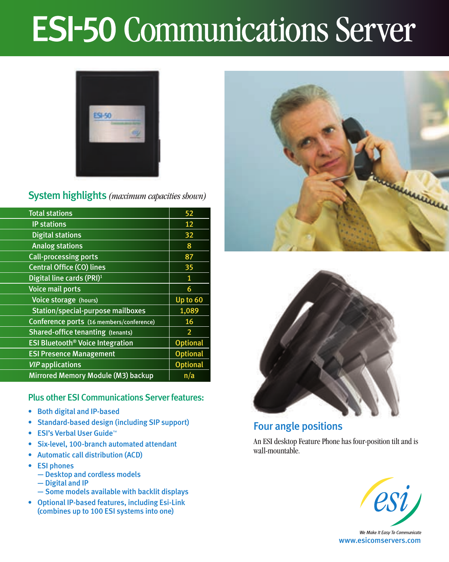# **ESI-50 Communications Server**



## System highlights *(maximum capacities shown)*

| <b>Total stations</b>                              | 52              |
|----------------------------------------------------|-----------------|
| <b>IP stations</b>                                 | 12              |
| <b>Digital stations</b>                            | 32              |
| <b>Analog stations</b>                             | 8               |
| <b>Call-processing ports</b>                       | 87              |
| <b>Central Office (CO) lines</b>                   | 35              |
| Digital line cards (PRI) <sup>1</sup>              | $\mathbf{1}$    |
| <b>Voice mail ports</b>                            | 6               |
| Voice storage (hours)                              | Up to 60        |
| Station/special-purpose mailboxes                  | 1,089           |
| Conference ports (16 members/conference)           | 16              |
| <b>Shared-office tenanting (tenants)</b>           | $\overline{2}$  |
| <b>ESI Bluetooth<sup>®</sup> Voice Integration</b> | <b>Optional</b> |
| <b>ESI Presence Management</b>                     | <b>Optional</b> |
| <b>VIP</b> applications                            | <b>Optional</b> |
| Mirrored Memory Module (M3) backup                 | n/a             |

## Plus other ESI Communications Server features:

- • Both digital and IP-based
- • Standard-based design (including SIP support)
- • ESI's Verbal User Guide™
- Six-level, 100-branch automated attendant
- • Automatic call distribution (ACD)
- • ESI phones
	- Desktop and cordless models
	- Digital and IP
	- Some models available with backlit displays
- • Optional IP-based features, including Esi-Link (combines up to 100 ESI systems into one)





## Four angle positions

An ESI desktop Feature Phone has four-position tilt and is wall-mountable.



We Make It Easy To Communicate www.esicomservers.com